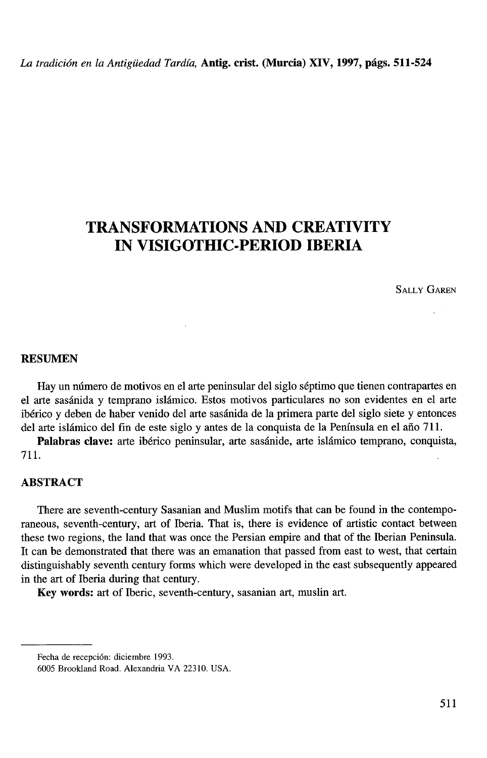## **TRANSFORMATIONS AND CREATIVITY IN VISIGOTHIC-PERIOD IBERIA**

**SALLY GAREN** 

## **RESUMEN**

Hay un número de motivos en el arte peninsular del siglo séptimo que tienen contrapartes en el arte sasánida y temprano islámico. Estos motivos particulares no son evidentes en el arte ibérico y deben de haber venido del arte sasánida de la primera parte del siglo siete y entonces del arte islámico del fin de este siglo y antes de la conquista de la Península en el año 711.

**Palabras clave:** arte ibérico peninsular, arte sasánide, arte islámico temprano, conquista, 711.

## **ABSTRACT**

There are seventh-century Sasanian and Muslim motifs that can be found in the contemporaneous, seventh-century, art of Iberia. That is, there is evidence of artistic contact between these two regions, the land that was once the Persian empire and that of the Iberian Peninsula. It can be demonstrated that there was an emanation that passed from east to west, that certain distinguishably seventh century forms which were developed in the east subsequently appeared in the art of Iberia during that century.

**Key words:** art of Iberic, seventh-century, sasanian art, muslin art.

Fecha de recepción: diciembre 1993.

<sup>6005</sup> Brookland **Road.** Alexandria VA 22310. USA.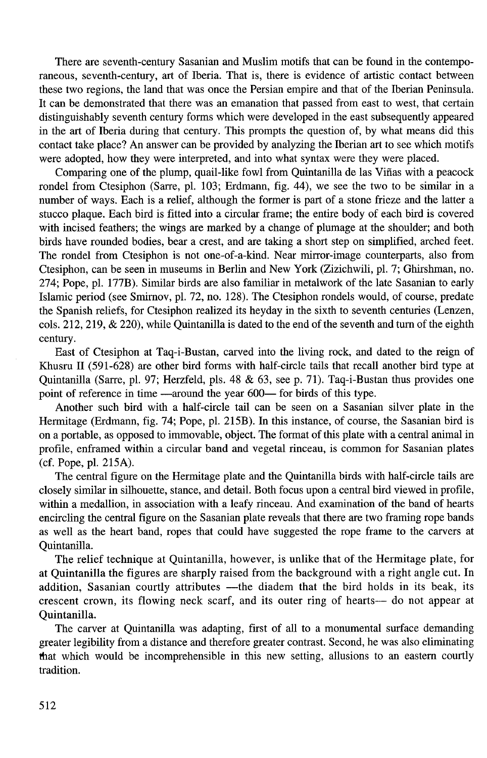There are seventh-century Sasanian and Muslim motifs that can be found in the contemporaneous, seventh-century, art of Iberia. That is, there is evidence of artistic contact between these two regions, the land that was once the Persian empire and that of the Iberian Peninsula. It can be demonstrated that there was an emanation that passed from east to west, that certain distinguishably seventh century forms which were developed in the east subsequently appeared in the art of Iberia during that century. This prompts the question of, by what means did this contact take place? An answer can be provided by analyzing the Iberian art to see which motifs were adopted, how they were interpreted, and into what syntax were they were placed.

Comparing one of the plump, quail-like fowl from Quintanilla de las Viñas with a peacock rondel from Ctesiphon (Sarre, pl. 103; Erdmann, fig. 44), we see the two to be similar in a number of ways. Each is a relief, although the former is part of a stone frieze and the latter a stucco plaque. Each bird is fitted into a circular frame; the entire body of each bird is covered with incised feathers; the wings are marked by a change of plumage at the shoulder; and both birds have rounded bodies, bear a crest, and are taking a short step on simplified, arched feet. The rondel from Ctesiphon is not one-of-a-kind. Near mirror-image counterparts, also from Ctesiphon, can be seen in museums in Berlin and New York (Zizichwili, pl. 7; Ghirshman, no. 274; Pope, pl. 177B). Similar birds are also familiar in metalwork of the late Sasanian to early Islamic period (see Smirnov, pl. 72, no. 128). The Ctesiphon rondels would, of course, predate the Spanish reliefs, for Ctesiphon realized its heyday in the sixth to seventh centuries (Lenzen, cols. 212,219, & 220), while Quintanilla is dated to the end of the seventh and turn of the eighth century.

East of Ctesiphon at Taq-i-Bustan, carved into the living rock, and dated to the reign of Khusru 11 (591-628) are other bird forms with half-circle tails that recall another bird type at Quintanilla (Sarre, pl. 97; Herzfeld, pls. 48 & 63, see p. 71). Taq-i-Bustan thus provides one point of reference in time —around the year 600— for birds of this type.

Another such bird with a half-circle tail can be seen on a Sasanian silver plate in the Hermitage (Erdmann, fig. 74; Pope, pl. 215B). In this instance, of course, the Sasanian bird is on a portable, as opposed to immovable, object. The format of this plate with a central animal in profile, enframed within a circular band and vegetal rinceau, is common for Sasanian plates (cf. Pope, pl. 215A).

The central figure on the Hermitage plate and the Quintanilla birds with half-circle tails are closely similar in silhouette, stance, and detail. Both focus upon a central bird viewed in profile, within a medallion, in association with a leafy rinceau. And examination of the band of hearts encircling the central figure on the Sasanian plate reveals that there are two framing rope bands as well as the heart band, ropes that could have suggested the rope frame to the carvers at Quintanilla.

The relief technique at Quintanilla, however, is unlike that of the Hermitage plate, for at Quintanilla the figures are sharply raised from the background with a right angle cut. In addition, Sasanian courtly attributes - the diadem that the bird holds in its beak, its crescent crown, its flowing neck scarf, and its outer ring of hearts- do not appear at Quintanilla.

The carver at Quintanilla was adapting, first of all to a monumental surface demanding greater legibility from a distance and therefore greater contrast. Second, he was also eliminating hat which would be incomprehensible in this new setting, allusions to an eastern courtly tradition.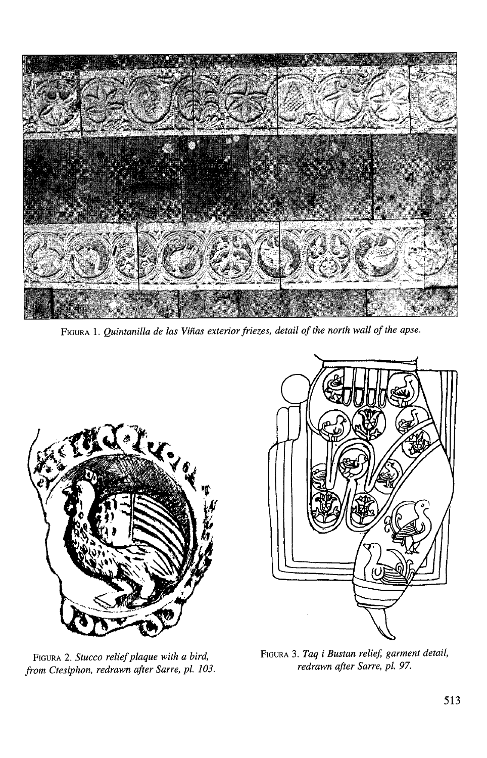

**FIGURA 1.***Quintanilla de las Viñas exterior friezes, detail of the north wall of the apse.* 



FIGURA 2. *Stucco relief plaque with a bird, frorn Ctesiphon, redrawn after Sarre, pl. 103.* 



FIGURA 3. Taq i Bustan relief, garment detail, *redrawn afer Sarre, pl. 97.*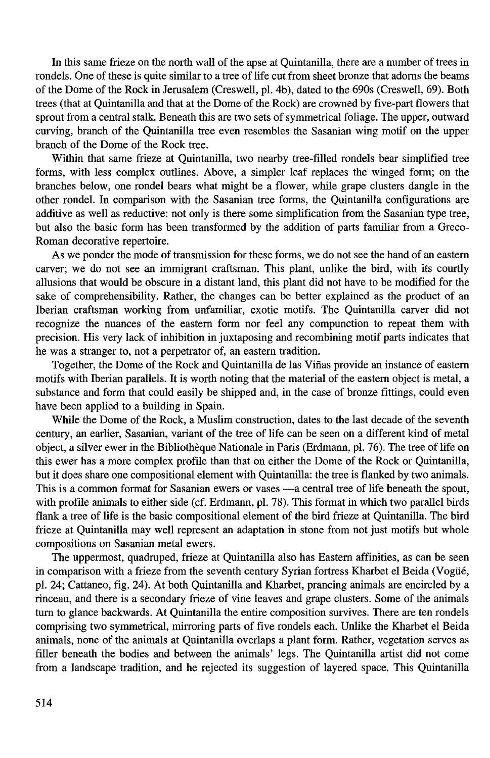In this same frieze on the north wall of the apse at Quintanilla, there are a number of trees in rondels. One of these is quite similar to a tree of life cut from sheet bronze that adorns the beams of the Dome of the Rock in Jerusalem (Creswell, pl. 4b), dated to the 690s (Creswell, 69). Both trees (that at Quintanilla and that at the Dome of the Rock) are crowned by five-part flowers that sprout from a central stalk. Beneath this are two sets of symmetrical foliage. The upper, outward curving, branch of the Quintanilla tree even resembles the Sasanian wing motif on the upper branch of the Dome of the Rock tree.

Within that same frieze at Quintanilla, two nearby tree-filled rondels bear simplified tree forms, with less complex outlines. Above, a simpler leaf replaces the winged form; on the branches below, one ronde1 bears what might be a flower, while grape clusters dangle in the other rondel. In comparison with the Sasanian tree forms, the Quintanilla configurations are additive as well as reductive: not only is there some simplification from the Sasanian type tree, but also the basic form has been transformed by the addition of parts familiar from a Greco-Roman decorative repertoire.

As we ponder the mode of transmission for these forms, we do not see the hand of an eastern carver; we do not see an immigrant craftsman. This plant, unlike the bird, with its courtly allusions that would be obscure in a distant land, this plant did not have to be modified for the sake of comprehensibility. Rather, the changes can be better explained as the product of an Iberian craftsman working from unfamiliar, exotic motifs. The Quintanilla carver did not recognize the nuances of the eastern form nor feel any compunction to repeat them with precision. His very lack of inhibition in juxtaposing and recombining motif parts indicates that he was a stranger to, not a perpetrator of, an eastern tradition.

Together, the Dome of the Rock and Quintanilla de las Viñas provide an instance of eastern motifs with Iberian parallels. It is worth noting that the material of the eastern object is metal, a substance and form that could easily be shipped and, in the case of bronze fittings, could even have been applied to a building in Spain.

While the Dome of the Rock, a Muslim construction, dates to the last decade of the seventh century, an earlier, Sasanian, variant of the tree of life can be seen on a different kind of metal object, a silver ewer in the Bibliothèque Nationale in Paris (Erdmann, pl. 76). The tree of life on this ewer has a more complex profile than that on either the Dome of the Rock or Quintanilla, but it does share one compositional element with Quintanilla: the tree is flanked by two animals. This is a common format for Sasanian ewers or vases - a central tree of life beneath the spout, with profile animals to either side (cf. Erdmann, pl. 78). This format in which two parallel birds flank a tree of life is the basic compositional element of the bird frieze at Quintanilla. The bird frieze at Quintanilla may well represent an adaptation in stone from not just motifs but whole compositions on Sasanian metal ewers.

The uppermost, quadruped, frieze at Quintanilla also has Eastern affinities, as can be seen in comparison with a frieze from the seventh century Syrian fortress Kharbet el Beida (Vogüé, pl. 24; Cattaneo, fig. 24). At both Quintanilla and Kharbet, prancing animals are encircled by a rinceau, and there is a secondary frieze of vine leaves and grape clusters. Some of the animals turn to glance backwards. At Quintanilla the entire composition survives. There are ten rondels comprising two symmetrical, mirroring parts of five rondels each. Unlike the Kharbet el Beida animals, none of the animals at Quintanilla overlaps a plant form. Rather, vegetation serves as filler beneath the bodies and between the animals' legs. The Quintanilla artist did not come from a landscape tradition, and he rejected its suggestion of layered space. This Quintanilla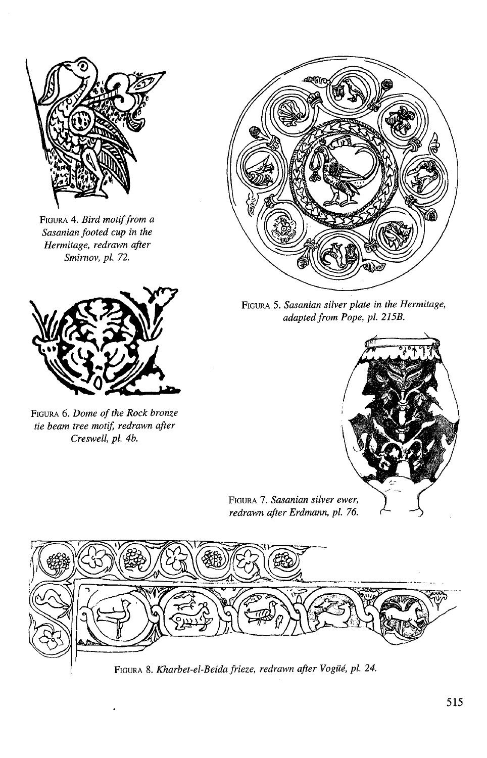

**FIGURA 4.** *Bird motif from a Sasanian footed cup in the Hermitage, redrawn after Srnimov, pl. 72.* 



**FIGURA 6.***Dome of the Rock bronze tie beam tree motiJ; redrawn after Creswell, pl. 4b.* 



**FIGURA** *5. Sasanian silver plate in the Hermitage, adaptedfforn Pope, pl. 215B.* 



**FIGURA 7**  . *Sasanian silve redrawn after Erdmann,* 



1 **FIGURA** 8. *Kharbet-el-Beida frieze, redrawn after Vogüé, pl. 24.*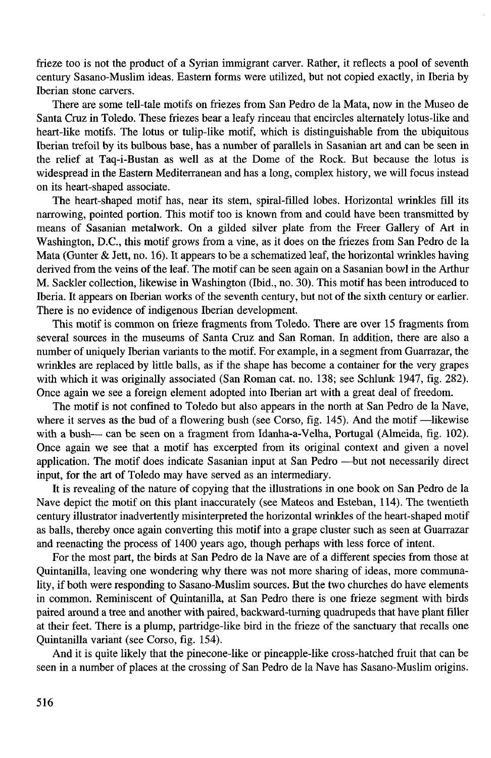frieze too is not the product of a Syrian immigrant carver. Rather, it reflects a pool of seventh century Sasano-Muslim ideas. Eastem forms were utilized, but not copied exactly, in Iberia by Iberian stone carvers.

There are some tell-tale motifs on friezes from San Pedro de la Mata, now in the Museo de Santa Cruz in Toledo. These friezes bear a leafy rinceau that encircles altemately lotus-like and heart-like motifs. The lotus or tulip-like motif, which is distinguishable from the ubiquitous Iberian trefoil by its bulbous base, has a number of parallels in Sasanian art and can be seen in the relief at Taq-i-Bustan as well as at the Dome of the Rock. But because the lotus is widespread in the Eastern Mediterranean and has a long, complex history, we will focus instead on its heart-shaped associate.

The heart-shaped motif has, near its stem, spiral-filled lobes. Horizontal wrinkles fill its narrowing, pointed portion. This motif too is known from and could have been transmitted by means of Sasanian metalwork. On a gilded silver plate from the Freer Gallery of Art in Washington, D.C., this motif grows from a vine, as it does on the friezes from San Pedro de la Mata (Gunter & Jett, no. 16). It appears to be a schematized leaf, the horizontal wrinkles having derived from the veins of the leaf. The motif can be seen again on a Sasanian bowl in the Arthur M. Sackler collection, likewise in Washington (bid., no. 30). This motif has been introduced to Iberia. It appears on Iberian works of the seventh century, but not of the sixth century or earlier. There is no evidence of indigenous Iberian development.

This motif is common on frieze fragments from Toledo. There are over 15 fragments from several sources in the museums of Santa Cruz and San Roman. In addition, there are also a number of uniquely Iberian variants to the motif. For example, in a segment from Guarrazar, the wrinkles are replaced by little balls, as if the shape has become a container for the very grapes with which it was originally associated (San Roman cat. no. 138; see Schlunk 1947, fig. 282). Once again we see a foreign element adopted into Iberian art with a great deal of freedom.

The motif is not confined to Toledo but also appears in the north at San Pedro de la Nave, where it serves as the bud of a flowering bush (see Corso, fig. 145). And the motif  $-$ likewise with a bush- can be seen on a fragment from Idanha-a-Velha, Portugal (Almeida, fig. 102). Once again we see that a motif has excerpted from its original context and given a novel application. The motif does indicate Sasanian input at San Pedro -- but not necessarily direct input, for the art of Toledo may have served as an intermediary.

It is revealing of the nature of copying that the illustrations in one book on San Pedro de la Nave depict the motif on this plant inaccurately (see Mateos and Esteban, 114). The twentieth century illustrator inadvertently misinterpreted the horizontal wrinkles of the heart-shaped motif as balls, thereby once again converting this motif into a grape cluster such as seen at Guarrazar and reenacting the process of 1400 years ago, though perhaps with less force of intent.

For the most part, the birds at San Pedro de la Nave are of a different species from those at Quintanilla, leaving one wondering why there was not more sharing of ideas, more communality, if both were responding to Sasano-Muslim sources. But the two churches do have elements in common. Reminiscent of Quintanilla, at San Pedro there is one frieze segment with birds paired around a tree and another with paired, backward-turning quadrupeds that have plant filler at their feet. There is a plump, partridge-like bird in the frieze of the sanctuary that recalls one Quintanilla variant (see Corso, fig. 154).

And it is quite likely that the pinecone-like or pineapple-like cross-hatched fruit that can be seen in a number of places at the crossing of San Pedro de la Nave has Sasano-Muslim origins.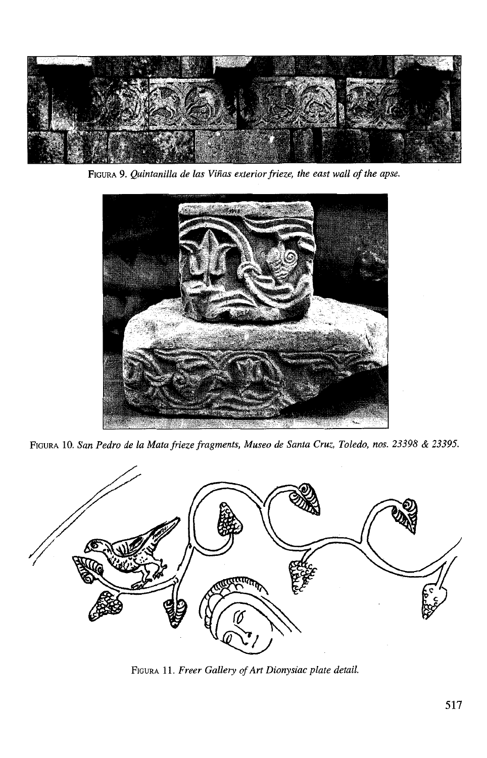

FIGURA 9. *Quintanilla de las Viñas exterior frieze, the east wall of the apse.* 



FIGURA 10. *San Pedro de la Mata frieze fragments, Museo de Santa Cruz, Toledo, nos. 23398* & *23395.* 



FIGURA 11. *Freer Gallery of Art Dionysiac plate detail.*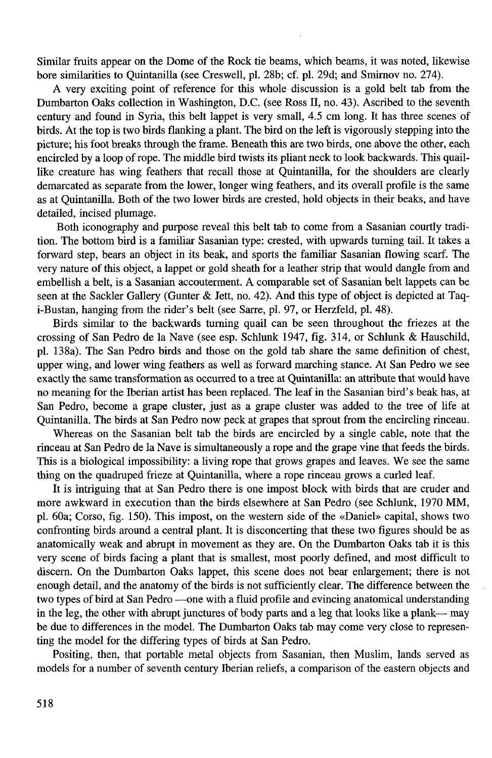Similar fruits appear on the Dome of the Rock tie beams, which beams, it was noted, likewise bore similarities to Quintanilla (see Creswell, pl. 28b; cf. pl. 29d; and Smimov no. 274).

A very exciting point of reference for this whole discussion is a gold belt tab from the Dumbarton Oaks collection in Washington, D.C. (see Ross 11, no. 43). Ascribed to the seventh century and found in Syria, this belt lappet is very small, 4.5 cm long. It has three scenes of birds. At the top is two birds flanking a plant. The bird on the left is vigorously stepping into the picture; his foot breaks through the frame. Beneath this are two birds, one above the other, each encircled by a loop of rope. The middle bird twists its pliant neck to look backwards. This quaillike creature has wing feathers that recall those at Quintanilla, for the shoulders are clearly demarcated as separate from the lower, longer wing feathers, and its overall profile is the same as at Quintanilla. Both of the two lower birds are crested, hold objects in their beaks, and have detailed, incised plumage.

Both iconography and purpose reveal this belt tab to come from a Sasanian courtly tradition. The bottom bird is a familiar Sasanian type: crested, with upwards tuming tail. It takes a forward step, bears an object in its beak, and sports the familiar Sasanian flowing scarf. The very nature of this object, a lappet or gold sheath for a leather strip that would dangle from and embellish a belt, is a Sasanian accouterment. **A** comparable set of Sasanian belt lappets can be seen at the Sackler Gallery (Gunter & Jett, no. 42). And this type of object is depicted at Taqi-Bustan, hanging from the rider's belt (see Sarre, pl. 97, or Herzfeld, pl. 48).

Birds similar to the backwards tuming quail can be seen throughout the friezes at the crossing of San Pedro de la Nave (see esp. Schlunk 1947, fig. 314, or Schlunk & Hauschild, pl. 138a). The San Pedro birds and those on the gold tab share the same definition of chest, upper wing, and lower wing feathers as well as forward marching stance. At San Pedro we see exactly the same transformation as occurred to a tree at Quintanilla: an attribute that would have no meaning for the Iberian artist has been replaced. The leaf in the Sasanian bird's beak has, at San Pedro, become a grape cluster, just as a grape cluster was added to the tree of life at Quintanilla. The birds at San Pedro now peck at grapes that sprout from the encircling rinceau.

Whereas on the Sasanian belt tab the birds are encircled by a single cable, note that the rinceau at San Pedro de la Nave is simultaneously a rope and the grape vine that feeds the birds. This is a biological impossibility: a living rope that grows grapes and leaves. We see the same thing on the quadruped frieze at Quintanilla, where a rope rinceau grows a curled leaf.

It is intriguing that at San Pedro there is one impost block with birds that are cruder and more awkward in execution than the birds elsewhere at San Pedro (see Schlunk, 1970 MM, pl. 60a; Corso, fig. 150). This impost, on the westem side of the <<Daniel» capital, shows two confronting birds around a central plant. It is disconcerting that these two figures should be as anatomically weak and abrupt in movement as they are. On the Dumbarton Oaks tab it is this very scene of birds facing a plant that is smallest, most poorly defined, and most difficult to discem. On the Dumbarton Oaks lappet, this scene does not bear enlargement; there is not enough detail, and the anatomy of the birds is not sufficiently clear. The difference between the two types of bird at San Pedro --- one with a fluid profile and evincing anatomical understanding in the leg, the other with abrupt junctures of body parts and a leg that looks like a plank- may be due to differences in the model. The Dumbarton Oaks tab may come very close to representing the model for the differing types of birds at San Pedro.

Positing, then, that portable metal objects from Sasanian, then Muslim, lands served as models for a number of seventh century Iberian reliefs, a comparison of the eastem objects and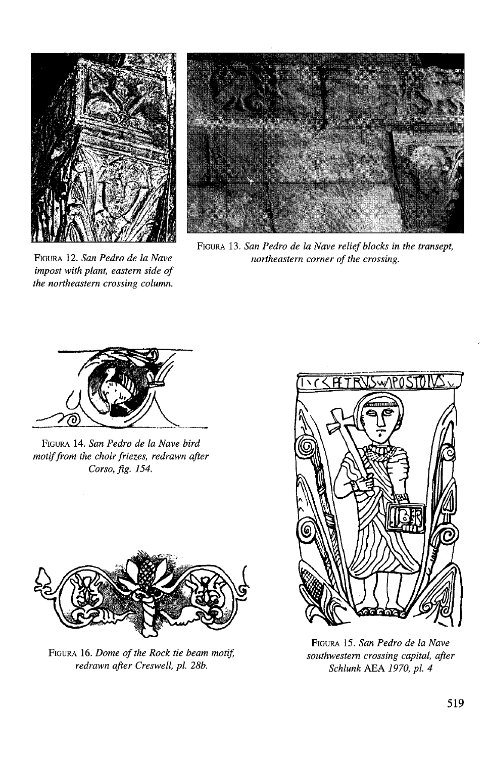

**FIGURA 12.** *San Pedro de la Nave impost with plant, eastern side of the northeastern crossing column.* 



**FIGURA 13.** *San Pedro de la Nave relief blocks in the transept, northeastern comer of the crossing.* 



**FIGURA 14.** *San Pedro de la Nave bird motiffrom the choir friezes, redrawn afer Corso, fig. 154.* 



FIGURA 16. *Dome of the Rock tie beam motif, redrawn afer Creswell, pl. 28b.* 



**FIGURA** *15. San Pedro de la Nave southwestern crossing capital, afer Schlunk AEA 1970, pl. 4*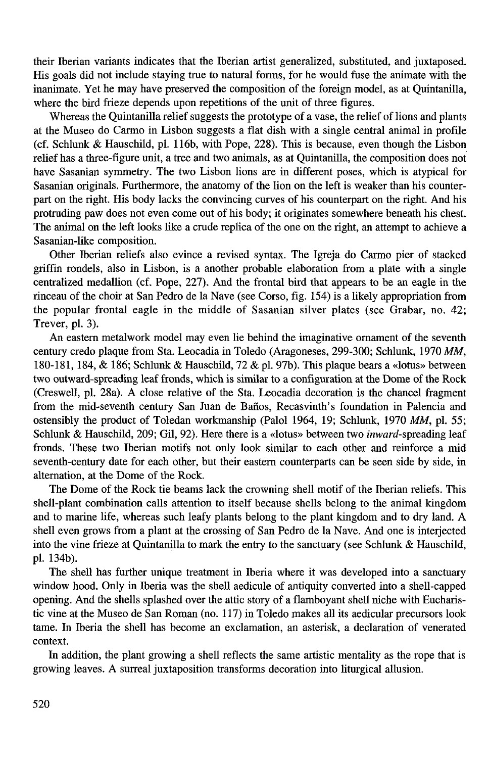their Iberian variants indicates that the Iberian artist generalized, substituted, and juxtaposed. His goals did not include staying true to natural forms, for he would fuse the animate with the inanimate. Yet he may have preserved the composition of the foreign model, as at Quintanilla, where the bird frieze depends upon repetitions of the unit of three figures.

Whereas the Quintanilla relief suggests the prototype of a vase, the relief of lions and plants at the Museo do Carmo in Lisbon suggests a flat dish with a single central animal in profile (cf. Schlunk & Hauschild, pl. 116b, with Pope, 228). This is because, even though the Lisbon relief has a three-figure unit, a tree and two animals, as at Quintanilla, the composition does not have Sasanian syrnrnetry. The two Lisbon lions are in different poses, which is atypical for Sasanian originals. Furthermore, the anatomy of the lion on the left is weaker than his counterpart on the right. His body lacks the convincing curves of his counterpart on the right. And his protruding paw does not even come out of his body; it originates somewhere beneath his chest. The animal on the left looks like a crude replica of the one on the right, an attempt to achieve a Sasanian-like composition.

Other Iberian reliefs also evince a revised syntax. The Igreja do Carmo pier of stacked griffin rondels, also in Lisbon, is a another probable elaboration from a plate with a single centralized medallion (cf. Pope, 227). And the frontal bird that appears to be **an** eagle in the rinceau of the choir at San Pedro de la Nave (see Corso, fig. 154) is a likely appropriation from the popular frontal eagle in the middle of Sasanian silver plates (see Grabar, no. 42; Trever, pl. 3).

**An** eastern metalwork model may even lie behind the imaginative ornament of the seventh century credo plaque from Sta. Leocadia in Toledo (Aragoneses, 299-300; Schlunk, 1970 MM, 180-181, 184,  $\&$  186; Schlunk  $\&$  Hauschild, 72  $\&$  pl. 97b). This plaque bears a «lotus» between two outward-spreading leaf fronds, which is similar to a configuration at the Dome of the Rock (Creswell, pl. 28a). A close relative of the Sta. Leocadia decoration is the chancel fragment from the mid-seventh century San Juan de Baños, Recasvinth's foundation in Palencia and ostensibly the product of Toledan workmanship (Palol 1964, 19; Schlunk, 1970 MM, pl. 55; Schlunk & Hauschild, 209; Gil, 92). Here there is a «lotus» between two inward-spreading leaf fronds. These two Iberian motifs not only look similar to each other and reinforce a mid seventh-century date for each other, but their eastern counterparts can be seen side by side, in alternation, at the Dome of the Rock.

The Dome of the Rock tie beams lack the crowning shell motif of the Iberian reliefs. This shell-plant combination calls attention to itself because shells belong to the animal kingdom and to marine life, whereas such leafy plants belong to the plant kingdom and to dry land. A shell even grows from a plant at the crossing of San Pedro de la Nave. And one is interjected into the vine frieze at Quintanilla to mark the entry to the sanctuary (see Schlunk & Hauschild, pl. 134b).

The shell has further unique treatment in Iberia where it was developed into a sanctuary window hood. Only in Iberia was the shell aedicule of antiquity converted into a shell-capped opening. And the shells splashed over the attic story of a flarnboyant shell niche with Eucharistic vine at the Museo de San Roman (no. 117) in Toledo makes al1 its aedicular precursors look tame. In Iberia the shell has become an exclamation, an asterisk, a declaration of venerated context.

In addition, the plant growing a shell reflects the same artistic mentality as the rope that is growing leaves. A surreal juxtaposition transforms decoration into liturgical allusion.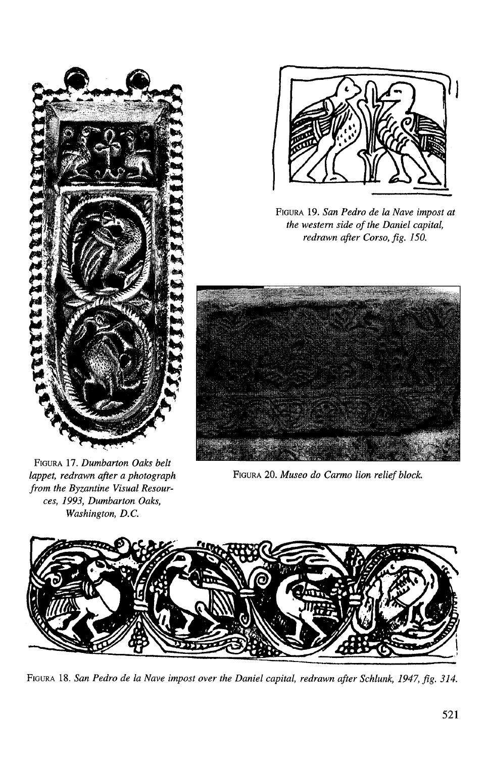

FIGURA 17. *Dumbarton Oaks belt lappet, redrawn after a photograph from the Byzantine Visual Resources, 1993, Dumbarton Oaks, Washington, D.C.* 



FIGURA 19. *San Pedro de la Nave impost at the western side of the Daniel capital, redrawn after Corso, fig. 150.* 



FIGURA 20. *Museo do Carmo lion relief block*.



FIGURA 18. *San Pedro de la Nave impost over the Daniel capital, redrawn after Schlunk, 1947, fig. 314.*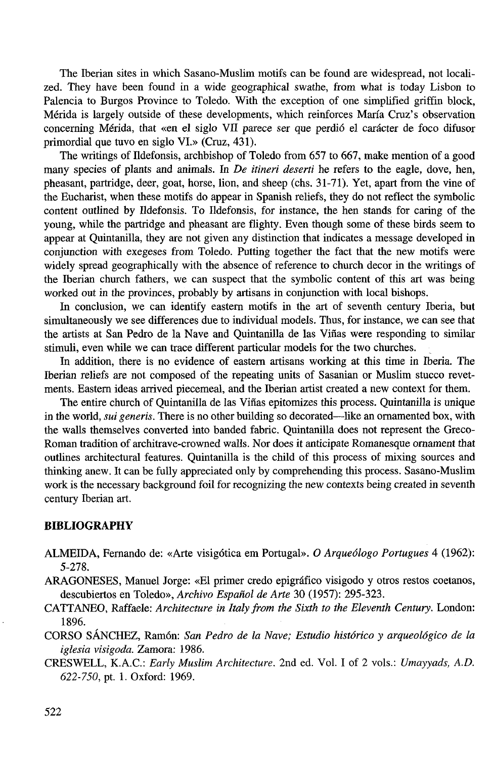The Iberian sites in which Sasano-Muslim motifs can be found are widespread, not localized. They have been found in a wide geographical swathe, from what is today Lisbon to Palencia to Burgos Province to Toledo. With the exception of one simplified griffin block, Mérida is largely outside of these developments, which reinforces María Cruz's observation conceming Mérida, that «en el siglo VI1 parece ser que perdió el carácter de foco difusor primordial que tuvo en siglo VI.» (Cruz, 431).

The writings of Ildefonsis, archbishop of Toledo from 657 to 667, make mention of a good many species of plants and animals. **In** *De itineri deserti* he refers to the eagle, dove, hen, pheasant, partridge, deer, goat, horse, lion, and sheep (chs. 31-71). Yet, apart from the vine of the Eucharist, when these motifs do appear in Spanish reliefs, they do not reflect the symbolic content outlined by Ildefonsis. To Ildefonsis, for instance, the hen stands for caring of the young, while the partridge and pheasant are flighty. Even though some of these birds seem to appear at Quintanilla, they are not given any distinction that indicates a message developed in conjunction with exegeses from Toledo. Putting together the fact that the new motifs were widely spread geographically with the absence of reference to church decor in the writings of the Iberian church fathers, we can suspect that the symbolic content of this art was being worked out in the provinces, probably by artisans in conjunction with local bishops.

In conclusion, we can identify eastern motifs in the art of seventh century Iberia, but simultaneously we see differences due to individual models. Thus, for instance, we can see that the artists at San Pedro de la Nave and Quintanilla de las Viñas were responding to similar stimuli, even while we can trace different particular models for the two churches.

In addition, there is no evidence of eastern artisans working at this time in Iberia. The Iberian reliefs are not composed of the repeating units of Sasanian or Muslim stucco revetments. Eastem ideas arrived piecemeal, and the Iberian artist created a new context for them.

The entire church of Quintanilla de las Viñas epitomizes this process. Quintanilla is unique in the world, *sui generis*. There is no other building so decorated—like an ornamented box, with the walls themselves converted into banded fabric. Quintanilla does not represent the Greco-Roman tradition of architrave-crowned walls. Nor does it anticipate Romanesque ornament that outlines architectural features. Quintanilla is the child of this process of mixing sources and thinking anew. It can be fully appreciated only by comprehending this process. Sasano-Muslim work is the necessary background foil for recognizing the new contexts being created in seventh century Iberian **art.** 

## **BIBLIOGRAPHY**

- ALMEIDA, Fernando de: «Arte visigótica em Portugal». *O Arqueólogo Portugues* 4 (1962): 5-278.
- ARAGONESES, Manuel Jorge: «El primer credo epigráfico visigodo y otros restos coetanos, descubiertos en Toledo», *Archivo Español de Arte* 30 (1957): 295-323.
- CATTANEO, Raffaele: *Architecture in Italy from the Sixth to the Eleventh Century*. London: 1896.
- CORSO SÁNCHEZ, Ramón: *San Pedro de la Nave; Estudio histórico y arqueológico de la iglesia visigoda.* Zamora: 1986.
- CRESWELL, K.A.C.: *Early Muslim Architecture.* 2nd ed. Vol. **1** of 2 vols.: *Umayyads,* A.D. 622-750, pt. 1. Oxford: 1969.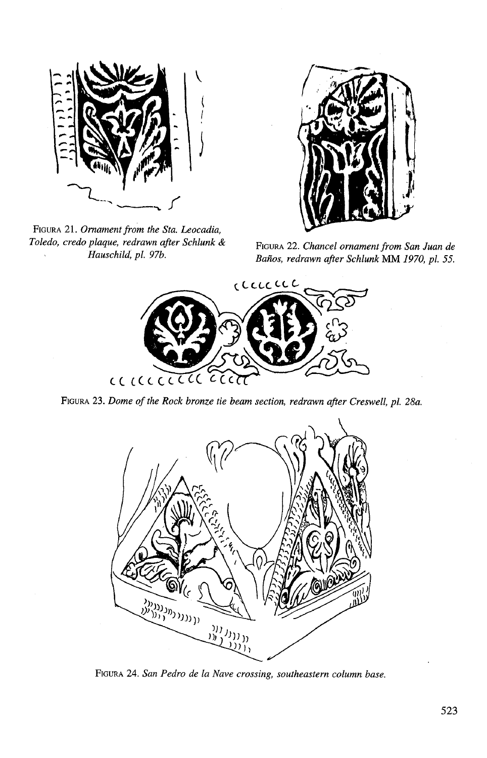

FIGURA 21. *Ornament from the Sta. Leocadia, Toledo, credo plaque, n&awn @er Schlunk* & **FIGURA 22.** *Chancel ornament from San Juan de* 



*Baños, redrawn after Schlunk MM 1970, pl. 55.* 



**FIGURA 23.** *Dome of the Rock bronze tie beam section, redrawn afer Creswell, pl. 28a.* 



**FIGURA 24.** *San Pedro de la Nave crossing, southeastern column base.*